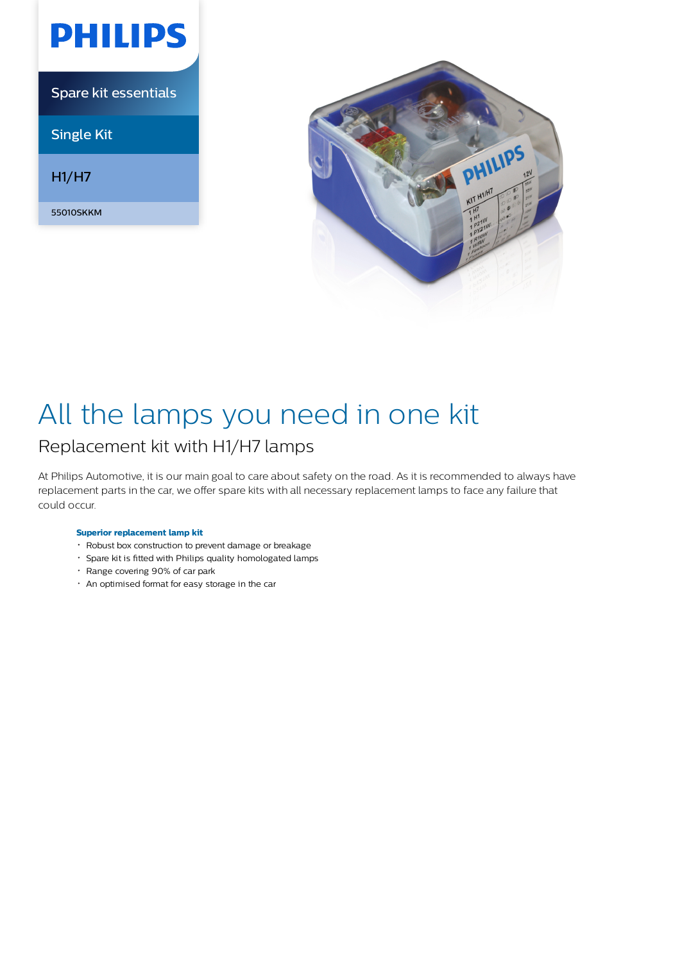

Spare kit essentials

Single Kit

H1/H7

55010SKKM



# All the lamps you need in one kit

## Replacement kit with H1/H7 lamps

At Philips Automotive, it is our main goal to care about safety on the road. As it is recommended to always have replacement parts in the car, we offer spare kits with all necessary replacement lamps to face any failure that could occur.

### **Superior replacement lamp kit**

- Robust box construction to prevent damage or breakage
- Spare kit is fitted with Philips quality homologated lamps
- Range covering 90% of car park
- An optimised format for easy storage in the car